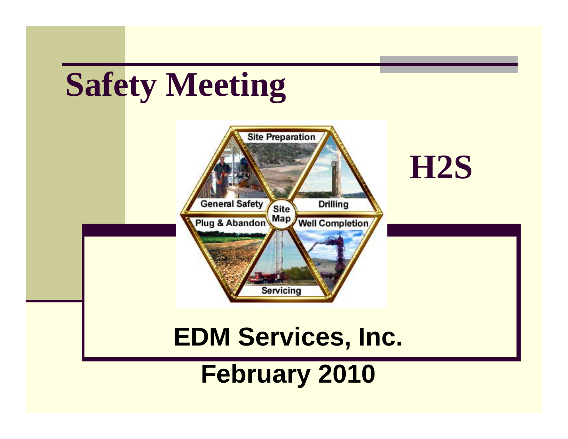# **Safety Meeting**

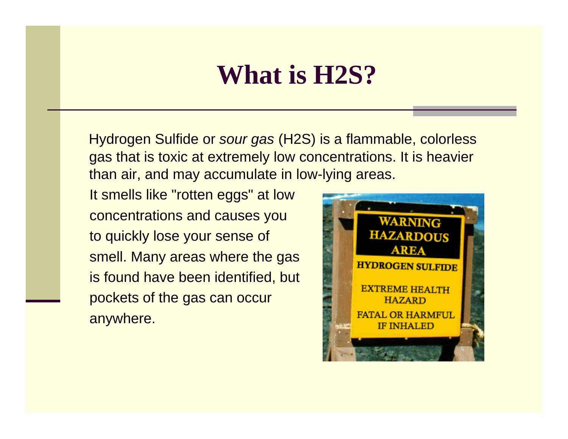### **What is H2S?**

Hydrogen Sulfide or *sour gas* (H2S) is a flammable, colorless gas that is toxic at extremely low concentrations. It is heavier than air, and may accumulate in low-lying areas.

It smells like "rotten eggs" at low concentrations and causes you to quickly lose your sense of smell. Many areas where the gas is found have been identified, but pockets of the gas can occur anywhere.

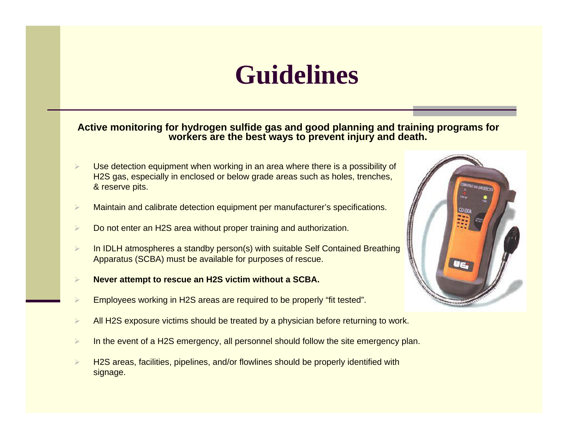## **Guidelines**

#### **Active monitoring for hydrogen sulfide gas and good planning and training programs for workers are the best ways to prevent injury and death.**

- ¾ Use detection equipment when working in an area where there is a possibility of H2S gas, especially in enclosed or below grade areas such as holes, trenches, & reserve pits.
- ¾Maintain and calibrate detection equipment per manufacturer's specifications.
- ¾Do not enter an H2S area without proper training and authorization.
- ¾ In IDLH atmospheres a standby person(s) with suitable Self Contained Breathing Apparatus (SCBA) must be available for purposes of rescue.
- ¾**Never attempt to rescue an H2S victim without a SCBA.**
- ¾Employees working in H2S areas are required to be properly "fit tested".
- ¾All H2S exposure victims should be treated by a physician before returning to work.
- ¾In the event of a H2S emergency, all personnel should follow the site emergency plan.
- ¾ H2S areas, facilities, pipelines, and/or flowlines should be properly identified with signage.